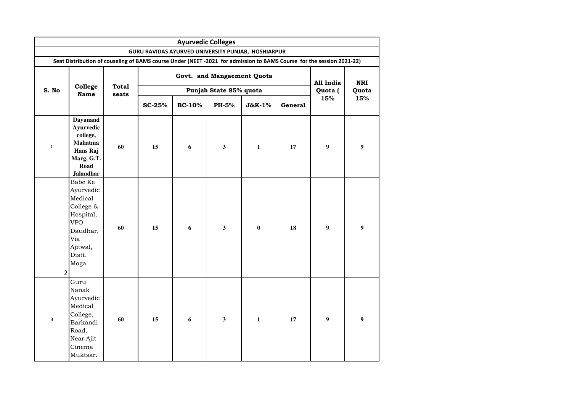|                |                                                                                                                          |              |               | <b>Ayurvedic Colleges</b>  |                        |              |         |                  |       |  |  |  |
|----------------|--------------------------------------------------------------------------------------------------------------------------|--------------|---------------|----------------------------|------------------------|--------------|---------|------------------|-------|--|--|--|
|                | GURU RAVIDAS AYURVED UNIVERSITY PUNJAB, HOSHIARPUR                                                                       |              |               |                            |                        |              |         |                  |       |  |  |  |
|                | Seat Distribution of couseling of BAMS course Under (NEET -2021 for admission to BAMS Course for the session 2021-22)    |              |               |                            |                        |              |         |                  |       |  |  |  |
|                |                                                                                                                          | <b>Total</b> |               | Govt. and Mangaement Quota | All India              | <b>NRI</b>   |         |                  |       |  |  |  |
| S. No          | College<br><b>Name</b>                                                                                                   | seats        |               |                            | Punjab State 85% quota |              |         | Quota (          | Quota |  |  |  |
|                |                                                                                                                          |              | <b>SC-25%</b> | <b>BC-10%</b>              | PH-5%                  | J&K-1%       | General | 15%              | 15%   |  |  |  |
| $\mathbf 1$    | Dayanand<br>Ayurvedic<br>college,<br>Mahatma<br>Hans Raj<br>Marg, G.T.<br>Road<br><b>Jalandhar</b>                       | 60           | 15            | $\boldsymbol{6}$           | $\mathbf{3}$           | $\mathbf 1$  | 17      | $\boldsymbol{9}$ | 9     |  |  |  |
| $\overline{2}$ | Babe Ke<br>Ayurvedic<br>Medical<br>College &<br>Hospital,<br><b>VPO</b><br>Daudhar,<br>Via<br>Ajitwal,<br>Distt.<br>Moga | 60           | 15            | 6                          | $\mathbf{3}$           | $\pmb{0}$    | 18      | 9                | 9     |  |  |  |
| $\mathbf{3}$   | Guru<br>Nanak<br>Ayurvedic<br>Medical<br>College,<br>Barkandi<br>Road,<br>Near Ajit<br>Cinema<br>Muktsar.                | 60           | 15            | 6                          | $\mathbf{3}$           | $\mathbf{1}$ | 17      | 9                | 9     |  |  |  |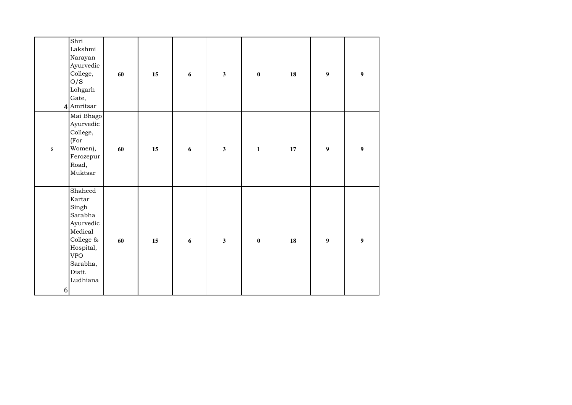| Shri<br>Lakshmi<br>Narayan<br>Ayurvedic<br>College,<br>O/S                                                                                   | 60                                        | 15 | $\boldsymbol{6}$ | $\mathbf{3}$ | $\pmb{0}$    | 18 | $\boldsymbol{9}$ | $\boldsymbol{9}$ |
|----------------------------------------------------------------------------------------------------------------------------------------------|-------------------------------------------|----|------------------|--------------|--------------|----|------------------|------------------|
| Lohgarh<br>Gate,<br>4 Amritsar                                                                                                               |                                           |    |                  |              |              |    |                  |                  |
| College,<br>(For<br>Women),<br>$5\phantom{.0}$<br>Road,<br>Muktsar                                                                           | Mai Bhago<br>Ayurvedic<br>60<br>Ferozepur | 15 | 6                | $\mathbf{3}$ | $\mathbf{1}$ | 17 | $\boldsymbol{9}$ | $\boldsymbol{9}$ |
| Shaheed<br>Kartar<br>Singh<br>Sarabha<br>Medical<br>College &<br>Hospital,<br><b>VPO</b><br>Sarabha,<br>Distt.<br>Ludhiana<br>6 <sup>1</sup> | Ayurvedic<br>60                           | 15 | 6                | $\mathbf{3}$ | $\pmb{0}$    | 18 | $\boldsymbol{9}$ | $\boldsymbol{9}$ |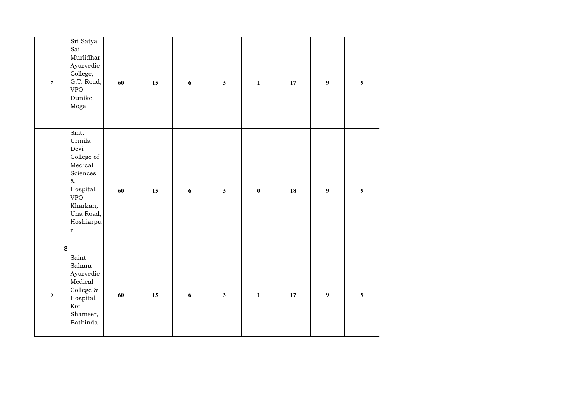| $\overline{\mathbf{7}}$ | Sri Satya<br>Sai<br>Murlidhar<br>Ayurvedic<br>College,<br>G.T. Road,<br><b>VPO</b><br>Dunike,<br>Moga                                                   | 60 | 15 | $\boldsymbol{6}$ | $\overline{\mathbf{3}}$ | $\mathbf{1}$ | 17     | $\boldsymbol{9}$ | $\boldsymbol{9}$ |
|-------------------------|---------------------------------------------------------------------------------------------------------------------------------------------------------|----|----|------------------|-------------------------|--------------|--------|------------------|------------------|
| 8 <sup>1</sup>          | Smt.<br>Urmila<br>Devi<br>College of<br>Medical<br>Sciences<br>$\delta$<br>Hospital,<br><b>VPO</b><br>Kharkan,<br>Una Road,<br>Hoshiarpu<br>$\mathbf r$ | 60 | 15 | $\boldsymbol{6}$ | $\overline{\mathbf{3}}$ | $\bf{0}$     | 18     | $\boldsymbol{9}$ | $\boldsymbol{9}$ |
| $\boldsymbol{9}$        | Saint<br>Sahara<br>Ayurvedic<br>Medical<br>College $\&$<br>Hospital,<br>Kot<br>Shameer,<br><b>Bathinda</b>                                              | 60 | 15 | $\boldsymbol{6}$ | $\overline{\mathbf{3}}$ | $\mathbf 1$  | $17\,$ | $\boldsymbol{9}$ | $\boldsymbol{9}$ |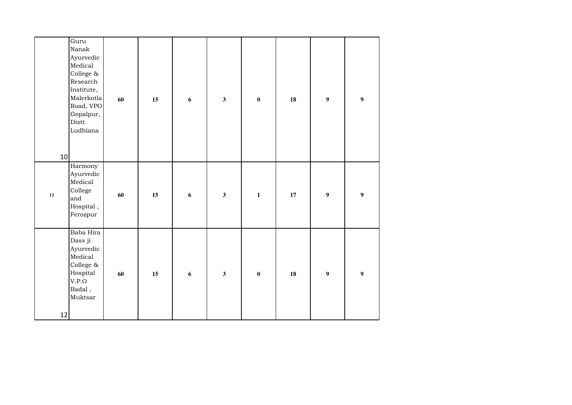| 10         | Guru<br>Nanak<br>Ayurvedic<br>Medical<br>College $\&$<br>Research<br>Institute,<br>Malerkotla<br>Road, VPO<br>Gopalpur,<br>Distt.<br>Ludhiana | 60 | 15 | $\boldsymbol{6}$ | $\overline{\mathbf{3}}$ | $\bf{0}$         | 18 | $\boldsymbol{9}$ | $\boldsymbol{9}$ |
|------------|-----------------------------------------------------------------------------------------------------------------------------------------------|----|----|------------------|-------------------------|------------------|----|------------------|------------------|
| ${\bf 11}$ | Harmony<br>Ayurvedic<br>Medical<br>College<br>and<br>Hospital,<br>Ferozpur                                                                    | 60 | 15 | $\boldsymbol{6}$ | $\overline{\mathbf{3}}$ | $\mathbf{1}$     | 17 | $\boldsymbol{9}$ | $\boldsymbol{9}$ |
| 12         | Baba Hira<br>Dass ji<br>Ayurvedic<br>Medical<br>College $\&$<br>Hospital<br>V.P.O<br>Badal,<br>Muktsar                                        | 60 | 15 | $\boldsymbol{6}$ | $\overline{\mathbf{3}}$ | $\boldsymbol{0}$ | 18 | $\boldsymbol{9}$ | $\boldsymbol{9}$ |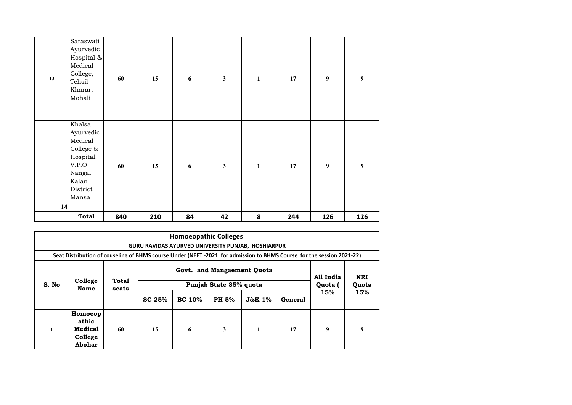| 13 | Saraswati<br>Ayurvedic<br>Hospital &<br>Medical<br>College,<br>Tehsil<br>Kharar,<br>Mohali                | 60  | $15\,$ | $\boldsymbol{6}$ | $\overline{\mathbf{3}}$ | $\mathbf 1$  | $17\,$ | $\boldsymbol{9}$ | $\boldsymbol{9}$ |
|----|-----------------------------------------------------------------------------------------------------------|-----|--------|------------------|-------------------------|--------------|--------|------------------|------------------|
| 14 | Khalsa<br>Ayurvedic<br>Medical<br>College &<br>Hospital,<br>V.P.O<br>Nangal<br>Kalan<br>District<br>Mansa | 60  | 15     | $\boldsymbol{6}$ | $\mathbf{3}$            | $\mathbf{1}$ | 17     | $\boldsymbol{9}$ | $\boldsymbol{9}$ |
|    | <b>Total</b>                                                                                              | 840 | 210    | 84               | 42                      | 8            | 244    | 126              | 126              |

|                                                       | <b>Homoeopathic Colleges</b>                                                                                         |                |          |                        |              |               |         |                  |     |  |  |  |  |  |
|-------------------------------------------------------|----------------------------------------------------------------------------------------------------------------------|----------------|----------|------------------------|--------------|---------------|---------|------------------|-----|--|--|--|--|--|
| GURU RAVIDAS AYURVED UNIVERSITY PUNJAB, HOSHIARPUR    |                                                                                                                      |                |          |                        |              |               |         |                  |     |  |  |  |  |  |
|                                                       | Seat Distribution of couseling of BHMS course Under (NEET-2021 for admission to BHMS Course for the session 2021-22) |                |          |                        |              |               |         |                  |     |  |  |  |  |  |
| Govt. and Mangaement Quota<br>All India<br><b>NRI</b> |                                                                                                                      |                |          |                        |              |               |         |                  |     |  |  |  |  |  |
| S. No                                                 | College<br>Name                                                                                                      | Total<br>seats |          | Punjab State 85% quota | Quota (      | Quota         |         |                  |     |  |  |  |  |  |
|                                                       |                                                                                                                      |                | $SC-25%$ | $BC-10%$               | <b>PH-5%</b> | $J$ &K- $1\%$ | General | 15%              | 15% |  |  |  |  |  |
| $\mathbf{1}$                                          | Homoeop<br>athic<br>Medical<br>College<br>Abohar                                                                     | 60             | 15       | 6                      | 3            | 1             | 17      | $\boldsymbol{9}$ | 9   |  |  |  |  |  |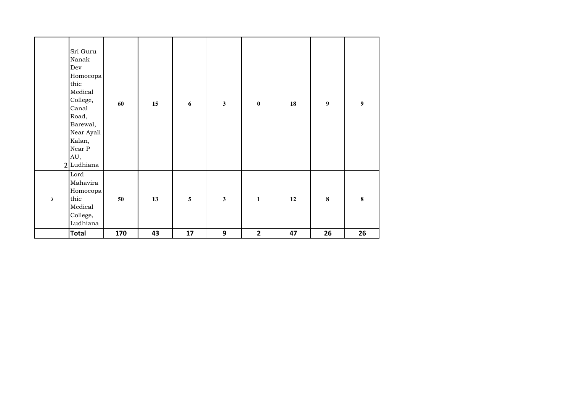|              | Sri Guru<br>Nanak<br>Dev<br>Homoeopa<br>thic<br>Medical<br>College,<br>Canal<br>Road,<br>Barewal,<br>Near Ayali<br>Kalan,<br>Near P<br>AU,<br>2 Ludhiana | 60  | 15 | $\boldsymbol{6}$ | $\overline{\mathbf{3}}$ | $\bf{0}$     | ${\bf 18}$ | $\boldsymbol{9}$ | $\boldsymbol{9}$ |
|--------------|----------------------------------------------------------------------------------------------------------------------------------------------------------|-----|----|------------------|-------------------------|--------------|------------|------------------|------------------|
| $\mathbf{3}$ | Lord<br>Mahavira<br>Homoeopa<br>thic<br>Medical<br>College,<br>Ludhiana                                                                                  | 50  | 13 | $\sqrt{5}$       | $\overline{\mathbf{3}}$ | $\mathbf{1}$ | 12         | $\bf{8}$         | $\bf 8$          |
|              | <b>Total</b>                                                                                                                                             | 170 | 43 | 17               | $\boldsymbol{9}$        | $\mathbf{2}$ | 47         | 26               | 26               |